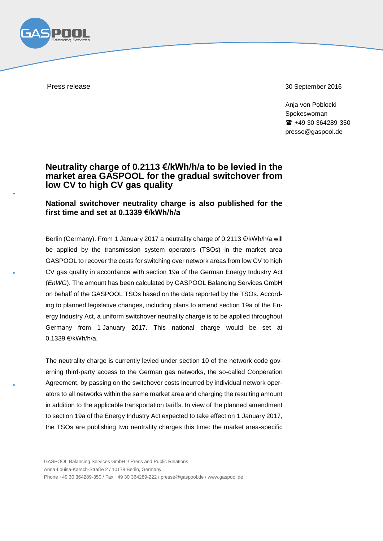

Press release 30 September 2016

Anja von Poblocki Spokeswoman +49 30 364289-350 presse@gaspool.de

## **Neutrality charge of 0.2113 €/kWh/h/a to be levied in the market area GASPOOL for the gradual switchover from low CV to high CV gas quality**

## **National switchover neutrality charge is also published for the first time and set at 0.1339 €/kWh/h/a**

Berlin (Germany). From 1 January 2017 a neutrality charge of 0.2113 €/kWh/h/a will be applied by the transmission system operators (TSOs) in the market area GASPOOL to recover the costs for switching over network areas from low CV to high CV gas quality in accordance with section 19a of the German Energy Industry Act (*EnWG*). The amount has been calculated by GASPOOL Balancing Services GmbH on behalf of the GASPOOL TSOs based on the data reported by the TSOs. According to planned legislative changes, including plans to amend section 19a of the Energy Industry Act, a uniform switchover neutrality charge is to be applied throughout Germany from 1 January 2017. This national charge would be set at 0.1339 €/kWh/h/a.

The neutrality charge is currently levied under section 10 of the network code governing third-party access to the German gas networks, the so-called Cooperation Agreement, by passing on the switchover costs incurred by individual network operators to all networks within the same market area and charging the resulting amount in addition to the applicable transportation tariffs. In view of the planned amendment to section 19a of the Energy Industry Act expected to take effect on 1 January 2017, the TSOs are publishing two neutrality charges this time: the market area-specific

GASPOOL Balancing Services GmbH / Press and Public Relations Anna-Louisa-Karsch-Straße 2 / 10178 Berlin, Germany Phone +49 30 364289-350 / Fax +49 30 364289-222 / presse@gaspool.de / [www.gaspool.de](http://www.gaspool.de/)